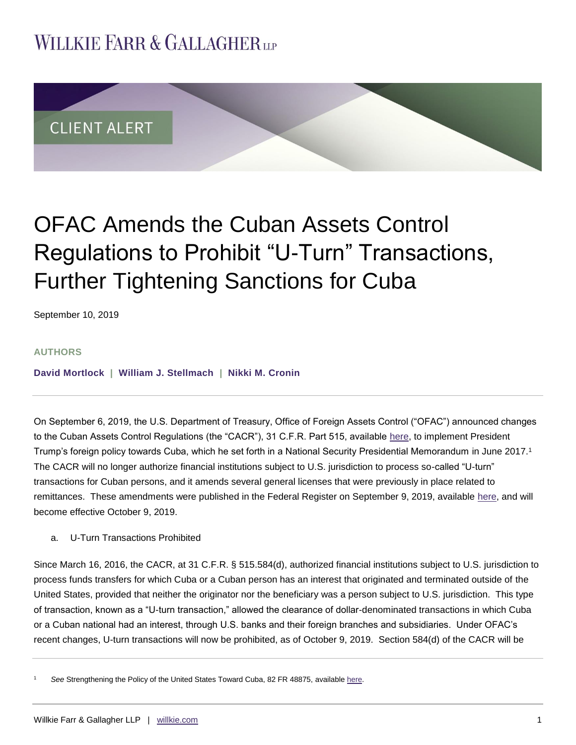## **WILLKIE FARR & GALLAGHERUP**



# OFAC Amends the Cuban Assets Control Regulations to Prohibit "U-Turn" Transactions, Further Tightening Sanctions for Cuba

September 10, 2019

### **AUTHORS**

**[David Mortlock](https://www.willkie.com/professionals/m/mortlock-david) | [William J. Stellmach](https://www.willkie.com/professionals/s/stellmach-william) | [Nikki M. Cronin](https://www.willkie.com/professionals/c/cronin-nikki)**

On September 6, 2019, the U.S. Department of Treasury, Office of Foreign Assets Control ("OFAC") announced changes to the Cuban Assets Control Regulations (the "CACR"), 31 C.F.R. Part 515, available [here,](https://www.treasury.gov/resource-center/sanctions/Programs/Documents/cuba_fact_sheet_20190906.pdf) to implement President Trump's foreign policy towards Cuba, which he set forth in a National Security Presidential Memorandum in June 2017.<sup>1</sup> The CACR will no longer authorize financial institutions subject to U.S. jurisdiction to process so-called "U-turn" transactions for Cuban persons, and it amends several general licenses that were previously in place related to remittances. These amendments were published in the Federal Register on September 9, 2019, available [here,](https://www.treasury.gov/resource-center/sanctions/Programs/Documents/20190906_cacr_amendment.pdf) and will become effective October 9, 2019.

## a. U-Turn Transactions Prohibited

Since March 16, 2016, the CACR, at 31 C.F.R. § 515.584(d), authorized financial institutions subject to U.S. jurisdiction to process funds transfers for which Cuba or a Cuban person has an interest that originated and terminated outside of the United States, provided that neither the originator nor the beneficiary was a person subject to U.S. jurisdiction. This type of transaction, known as a "U-turn transaction," allowed the clearance of dollar-denominated transactions in which Cuba or a Cuban national had an interest, through U.S. banks and their foreign branches and subsidiaries. Under OFAC's recent changes, U-turn transactions will now be prohibited, as of October 9, 2019. Section 584(d) of the CACR will be

<sup>1</sup> *See* Strengthening the Policy of the United States Toward Cuba, 82 FR 48875, available [here.](https://www.federalregister.gov/documents/2017/10/20/2017-22928/strengthening-the-policy-of-the-united-states-toward-cuba)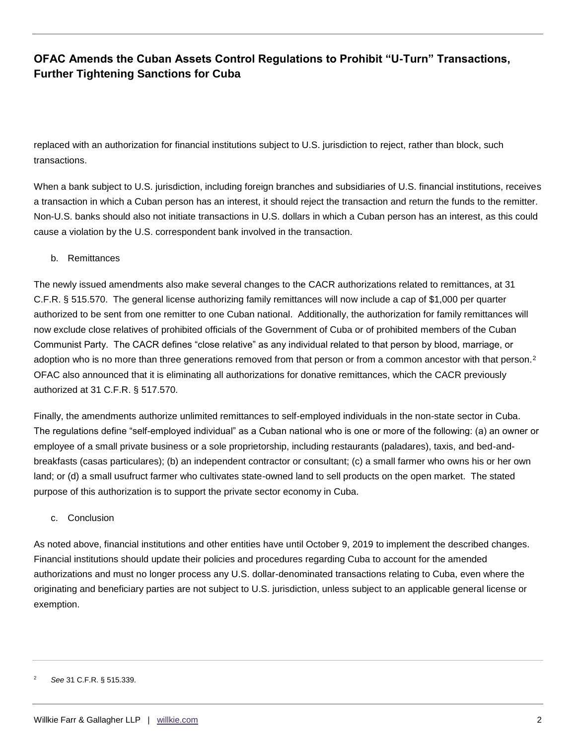## **OFAC Amends the Cuban Assets Control Regulations to Prohibit "U-Turn" Transactions, Further Tightening Sanctions for Cuba**

replaced with an authorization for financial institutions subject to U.S. jurisdiction to reject, rather than block, such transactions.

When a bank subject to U.S. jurisdiction, including foreign branches and subsidiaries of U.S. financial institutions, receives a transaction in which a Cuban person has an interest, it should reject the transaction and return the funds to the remitter. Non-U.S. banks should also not initiate transactions in U.S. dollars in which a Cuban person has an interest, as this could cause a violation by the U.S. correspondent bank involved in the transaction.

#### b. Remittances

The newly issued amendments also make several changes to the CACR authorizations related to remittances, at 31 C.F.R. § 515.570. The general license authorizing family remittances will now include a cap of \$1,000 per quarter authorized to be sent from one remitter to one Cuban national. Additionally, the authorization for family remittances will now exclude close relatives of prohibited officials of the Government of Cuba or of prohibited members of the Cuban Communist Party. The CACR defines "close relative" as any individual related to that person by blood, marriage, or adoption who is no more than three generations removed from that person or from a common ancestor with that person.<sup>2</sup> OFAC also announced that it is eliminating all authorizations for donative remittances, which the CACR previously authorized at 31 C.F.R. § 517.570.

Finally, the amendments authorize unlimited remittances to self-employed individuals in the non-state sector in Cuba. The regulations define "self-employed individual" as a Cuban national who is one or more of the following: (a) an owner or employee of a small private business or a sole proprietorship, including restaurants (paladares), taxis, and bed-andbreakfasts (casas particulares); (b) an independent contractor or consultant; (c) a small farmer who owns his or her own land; or (d) a small usufruct farmer who cultivates state-owned land to sell products on the open market. The stated purpose of this authorization is to support the private sector economy in Cuba.

#### c. Conclusion

As noted above, financial institutions and other entities have until October 9, 2019 to implement the described changes. Financial institutions should update their policies and procedures regarding Cuba to account for the amended authorizations and must no longer process any U.S. dollar-denominated transactions relating to Cuba, even where the originating and beneficiary parties are not subject to U.S. jurisdiction, unless subject to an applicable general license or exemption.

<sup>2</sup> *See* 31 C.F.R. § 515.339.